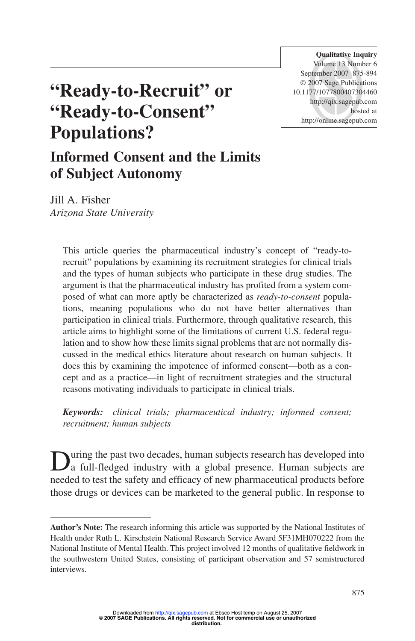**Qualitative Inquiry** Volume 13 Number 6 September 2007 875-894 © 2007 Sage Publications 10.1177/1077800407304460 http://qix.sagepub.com hosted at http://online.sagepub.com

# **"Ready-to-Recruit" or "Ready-to-Consent" Populations?**

# **Informed Consent and the Limits of Subject Autonomy**

Jill A. Fisher *Arizona State University*

> This article queries the pharmaceutical industry's concept of "ready-torecruit" populations by examining its recruitment strategies for clinical trials and the types of human subjects who participate in these drug studies. The argument is that the pharmaceutical industry has profited from a system composed of what can more aptly be characterized as *ready-to-consent* populations, meaning populations who do not have better alternatives than participation in clinical trials. Furthermore, through qualitative research, this article aims to highlight some of the limitations of current U.S. federal regulation and to show how these limits signal problems that are not normally discussed in the medical ethics literature about research on human subjects. It does this by examining the impotence of informed consent—both as a concept and as a practice—in light of recruitment strategies and the structural reasons motivating individuals to participate in clinical trials.

> *Keywords: clinical trials; pharmaceutical industry; informed consent; recruitment; human subjects*

During the past two decades, human subjects research has developed into a full-fledged industry with a global presence. Human subjects are needed to test the safety and efficacy of new pharmaceutical products before those drugs or devices can be marketed to the general public. In response to

**Author's Note:** The research informing this article was supported by the National Institutes of Health under Ruth L. Kirschstein National Research Service Award 5F31MH070222 from the National Institute of Mental Health. This project involved 12 months of qualitative fieldwork in the southwestern United States, consisting of participant observation and 57 semistructured interviews.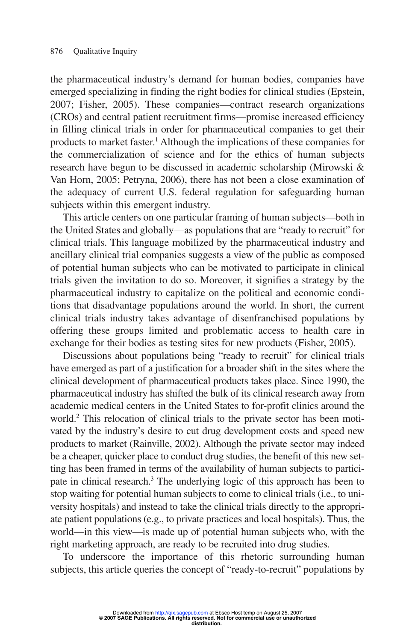the pharmaceutical industry's demand for human bodies, companies have emerged specializing in finding the right bodies for clinical studies (Epstein, 2007; Fisher, 2005). These companies—contract research organizations (CROs) and central patient recruitment firms—promise increased efficiency in filling clinical trials in order for pharmaceutical companies to get their products to market faster. <sup>1</sup> Although the implications of these companies for the commercialization of science and for the ethics of human subjects research have begun to be discussed in academic scholarship (Mirowski & Van Horn, 2005; Petryna, 2006), there has not been a close examination of the adequacy of current U.S. federal regulation for safeguarding human subjects within this emergent industry.

This article centers on one particular framing of human subjects—both in the United States and globally—as populations that are "ready to recruit" for clinical trials. This language mobilized by the pharmaceutical industry and ancillary clinical trial companies suggests a view of the public as composed of potential human subjects who can be motivated to participate in clinical trials given the invitation to do so. Moreover, it signifies a strategy by the pharmaceutical industry to capitalize on the political and economic conditions that disadvantage populations around the world. In short, the current clinical trials industry takes advantage of disenfranchised populations by offering these groups limited and problematic access to health care in exchange for their bodies as testing sites for new products (Fisher, 2005).

Discussions about populations being "ready to recruit" for clinical trials have emerged as part of a justification for a broader shift in the sites where the clinical development of pharmaceutical products takes place. Since 1990, the pharmaceutical industry has shifted the bulk of its clinical research away from academic medical centers in the United States to for-profit clinics around the world. <sup>2</sup> This relocation of clinical trials to the private sector has been motivated by the industry's desire to cut drug development costs and speed new products to market (Rainville, 2002). Although the private sector may indeed be a cheaper, quicker place to conduct drug studies, the benefit of this new setting has been framed in terms of the availability of human subjects to participate in clinical research. <sup>3</sup> The underlying logic of this approach has been to stop waiting for potential human subjects to come to clinical trials (i.e., to university hospitals) and instead to take the clinical trials directly to the appropriate patient populations (e.g., to private practices and local hospitals). Thus, the world—in this view—is made up of potential human subjects who, with the right marketing approach, are ready to be recruited into drug studies.

To underscore the importance of this rhetoric surrounding human subjects, this article queries the concept of "ready-to-recruit" populations by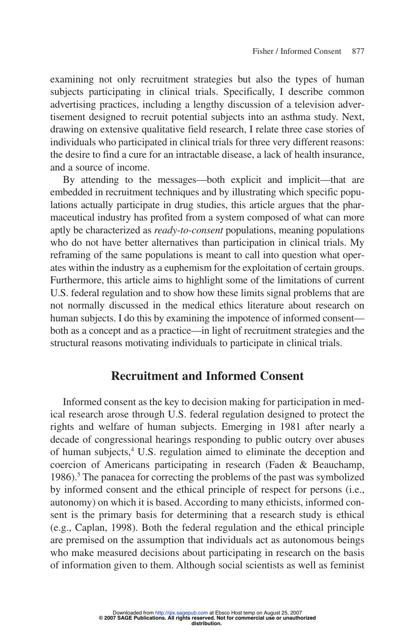examining not only recruitment strategies but also the types of human subjects participating in clinical trials. Specifically, I describe common advertising practices, including a lengthy discussion of a television advertisement designed to recruit potential subjects into an asthma study. Next, drawing on extensive qualitative field research, I relate three case stories of individuals who participated in clinical trials for three very different reasons: the desire to find a cure for an intractable disease, a lack of health insurance, and a source of income.

By attending to the messages—both explicit and implicit—that are embedded in recruitment techniques and by illustrating which specific populations actually participate in drug studies, this article argues that the pharmaceutical industry has profited from a system composed of what can more aptly be characterized as *ready-to-consent* populations, meaning populations who do not have better alternatives than participation in clinical trials. My reframing of the same populations is meant to call into question what operates within the industry as a euphemism for the exploitation of certain groups. Furthermore, this article aims to highlight some of the limitations of current U.S. federal regulation and to show how these limits signal problems that are not normally discussed in the medical ethics literature about research on human subjects. I do this by examining the impotence of informed consent both as a concept and as a practice—in light of recruitment strategies and the structural reasons motivating individuals to participate in clinical trials.

# **Recruitment and Informed Consent**

Informed consent as the key to decision making for participation in medical research arose through U.S. federal regulation designed to protect the rights and welfare of human subjects. Emerging in 1981 after nearly a decade of congressional hearings responding to public outcry over abuses of human subjects,4 U.S. regulation aimed to eliminate the deception and coercion of Americans participating in research (Faden & Beauchamp, 1986).<sup>5</sup> The panacea for correcting the problems of the past was symbolized by informed consent and the ethical principle of respect for persons (i.e., autonomy) on which it is based. According to many ethicists, informed consent is the primary basis for determining that a research study is ethical (e.g., Caplan, 1998). Both the federal regulation and the ethical principle are premised on the assumption that individuals act as autonomous beings who make measured decisions about participating in research on the basis of information given to them. Although social scientists as well as feminist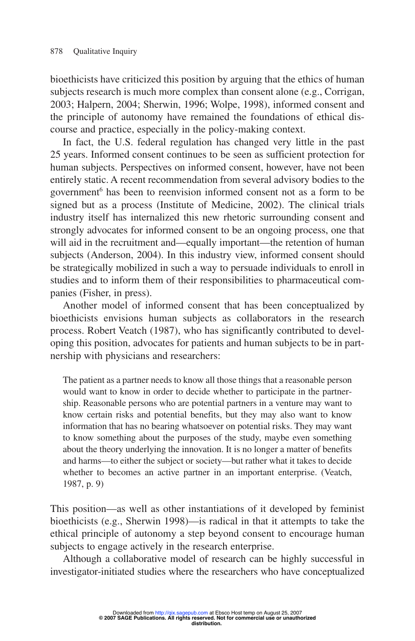bioethicists have criticized this position by arguing that the ethics of human subjects research is much more complex than consent alone (e.g., Corrigan, 2003; Halpern, 2004; Sherwin, 1996; Wolpe, 1998), informed consent and the principle of autonomy have remained the foundations of ethical discourse and practice, especially in the policy-making context.

In fact, the U.S. federal regulation has changed very little in the past 25 years. Informed consent continues to be seen as sufficient protection for human subjects. Perspectives on informed consent, however, have not been entirely static. A recent recommendation from several advisory bodies to the government <sup>6</sup> has been to reenvision informed consent not as a form to be signed but as a process (Institute of Medicine, 2002). The clinical trials industry itself has internalized this new rhetoric surrounding consent and strongly advocates for informed consent to be an ongoing process, one that will aid in the recruitment and—equally important—the retention of human subjects (Anderson, 2004). In this industry view, informed consent should be strategically mobilized in such a way to persuade individuals to enroll in studies and to inform them of their responsibilities to pharmaceutical companies (Fisher, in press).

Another model of informed consent that has been conceptualized by bioethicists envisions human subjects as collaborators in the research process. Robert Veatch (1987), who has significantly contributed to developing this position, advocates for patients and human subjects to be in partnership with physicians and researchers:

The patient as a partner needs to know all those things that a reasonable person would want to know in order to decide whether to participate in the partnership. Reasonable persons who are potential partners in a venture may want to know certain risks and potential benefits, but they may also want to know information that has no bearing whatsoever on potential risks. They may want to know something about the purposes of the study, maybe even something about the theory underlying the innovation. It is no longer a matter of benefits and harms—to either the subject or society—but rather what it takes to decide whether to becomes an active partner in an important enterprise. (Veatch, 1987, p. 9)

This position—as well as other instantiations of it developed by feminist bioethicists (e.g., Sherwin 1998)—is radical in that it attempts to take the ethical principle of autonomy a step beyond consent to encourage human subjects to engage actively in the research enterprise.

Although a collaborative model of research can be highly successful in investigator-initiated studies where the researchers who have conceptualized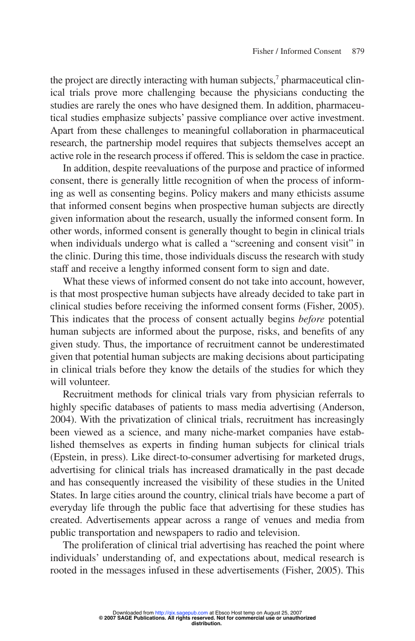the project are directly interacting with human subjects, <sup>7</sup> pharmaceutical clinical trials prove more challenging because the physicians conducting the studies are rarely the ones who have designed them. In addition, pharmaceutical studies emphasize subjects' passive compliance over active investment. Apart from these challenges to meaningful collaboration in pharmaceutical research, the partnership model requires that subjects themselves accept an active role in the research process if offered. This is seldom the case in practice.

In addition, despite reevaluations of the purpose and practice of informed consent, there is generally little recognition of when the process of informing as well as consenting begins. Policy makers and many ethicists assume that informed consent begins when prospective human subjects are directly given information about the research, usually the informed consent form. In other words, informed consent is generally thought to begin in clinical trials when individuals undergo what is called a "screening and consent visit" in the clinic. During this time, those individuals discuss the research with study staff and receive a lengthy informed consent form to sign and date.

What these views of informed consent do not take into account, however, is that most prospective human subjects have already decided to take part in clinical studies before receiving the informed consent forms (Fisher, 2005). This indicates that the process of consent actually begins *before* potential human subjects are informed about the purpose, risks, and benefits of any given study. Thus, the importance of recruitment cannot be underestimated given that potential human subjects are making decisions about participating in clinical trials before they know the details of the studies for which they will volunteer.

Recruitment methods for clinical trials vary from physician referrals to highly specific databases of patients to mass media advertising (Anderson, 2004). With the privatization of clinical trials, recruitment has increasingly been viewed as a science, and many niche-market companies have established themselves as experts in finding human subjects for clinical trials (Epstein, in press). Like direct-to-consumer advertising for marketed drugs, advertising for clinical trials has increased dramatically in the past decade and has consequently increased the visibility of these studies in the United States. In large cities around the country, clinical trials have become a part of everyday life through the public face that advertising for these studies has created. Advertisements appear across a range of venues and media from public transportation and newspapers to radio and television.

The proliferation of clinical trial advertising has reached the point where individuals' understanding of, and expectations about, medical research is rooted in the messages infused in these advertisements (Fisher, 2005). This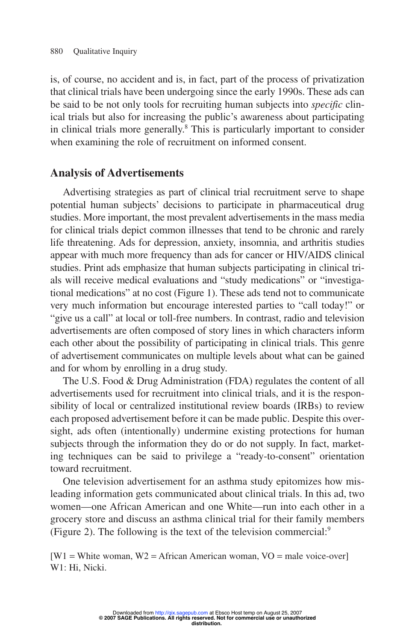is, of course, no accident and is, in fact, part of the process of privatization that clinical trials have been undergoing since the early 1990s. These ads can be said to be not only tools for recruiting human subjects into *specific* clinical trials but also for increasing the public's awareness about participating in clinical trials more generally. <sup>8</sup> This is particularly important to consider when examining the role of recruitment on informed consent.

#### **Analysis of Advertisements**

Advertising strategies as part of clinical trial recruitment serve to shape potential human subjects' decisions to participate in pharmaceutical drug studies. More important, the most prevalent advertisements in the mass media for clinical trials depict common illnesses that tend to be chronic and rarely life threatening. Ads for depression, anxiety, insomnia, and arthritis studies appear with much more frequency than ads for cancer or HIV/AIDS clinical studies. Print ads emphasize that human subjects participating in clinical trials will receive medical evaluations and "study medications" or "investigational medications" at no cost (Figure 1). These ads tend not to communicate very much information but encourage interested parties to "call today!" or "give us a call" at local or toll-free numbers. In contrast, radio and television advertisements are often composed of story lines in which characters inform each other about the possibility of participating in clinical trials. This genre of advertisement communicates on multiple levels about what can be gained and for whom by enrolling in a drug study.

The U.S. Food & Drug Administration (FDA) regulates the content of all advertisements used for recruitment into clinical trials, and it is the responsibility of local or centralized institutional review boards (IRBs) to review each proposed advertisement before it can be made public. Despite this oversight, ads often (intentionally) undermine existing protections for human subjects through the information they do or do not supply. In fact, marketing techniques can be said to privilege a "ready-to-consent" orientation toward recruitment.

One television advertisement for an asthma study epitomizes how misleading information gets communicated about clinical trials. In this ad, two women—one African American and one White—run into each other in a grocery store and discuss an asthma clinical trial for their family members (Figure 2). The following is the text of the television commercial:9

 $[W1 = White$  woman,  $W2 = African$  American woman,  $VO = male$  voice-over] W1: Hi, Nicki.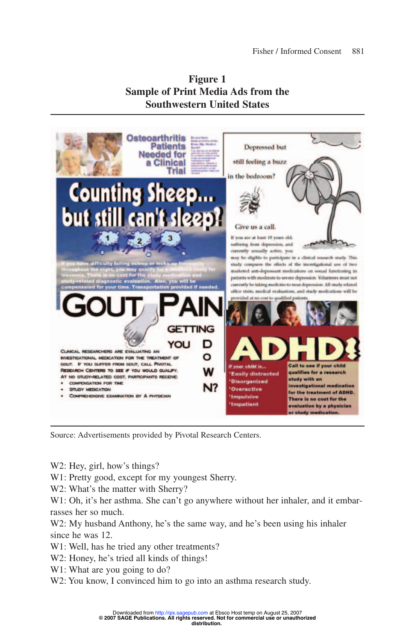



Source: Advertisements provided by Pivotal Research Centers.

W2: Hey, girl, how's things?

W1: Pretty good, except for my youngest Sherry.

W2: What's the matter with Sherry?

W1: Oh, it's her asthma. She can't go anywhere without her inhaler, and it embarrasses her so much.

W2: My husband Anthony, he's the same way, and he's been using his inhaler since he was 12.

W1: Well, has he tried any other treatments?

W<sub>2</sub>: Honey, he's tried all kinds of things!

W1: What are you going to do?

W2: You know, I convinced him to go into an asthma research study.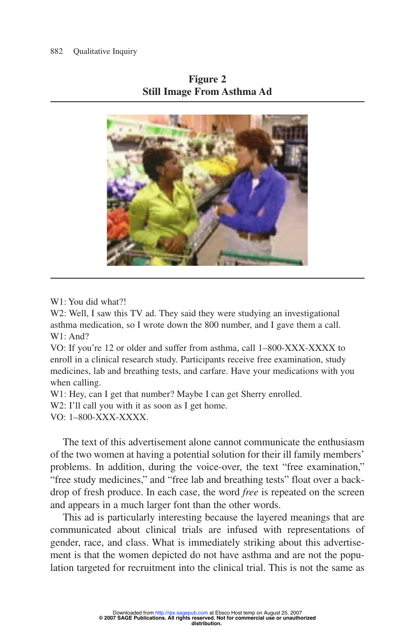

**Figure 2 Still Image From Asthma Ad**

W1: You did what?!

W2: Well, I saw this TV ad. They said they were studying an investigational asthma medication, so I wrote down the 800 number, and I gave them a call. W1: And?

VO: If you're 12 or older and suffer from asthma, call 1–800-XXX-XXXX to enroll in a clinical research study. Participants receive free examination, study medicines, lab and breathing tests, and carfare. Have your medications with you when calling.

W1: Hey, can I get that number? Maybe I can get Sherry enrolled.

W2: I'll call you with it as soon as I get home.

VO: 1–800-XXX-XXXX.

The text of this advertisement alone cannot communicate the enthusiasm of the two women at having a potential solution for their ill family members' problems. In addition, during the voice-over, the text "free examination," "free study medicines," and "free lab and breathing tests" float over a backdrop of fresh produce. In each case, the word *free* is repeated on the screen and appears in a much larger font than the other words.

This ad is particularly interesting because the layered meanings that are communicated about clinical trials are infused with representations of gender, race, and class. What is immediately striking about this advertisement is that the women depicted do not have asthma and are not the population targeted for recruitment into the clinical trial. This is not the same as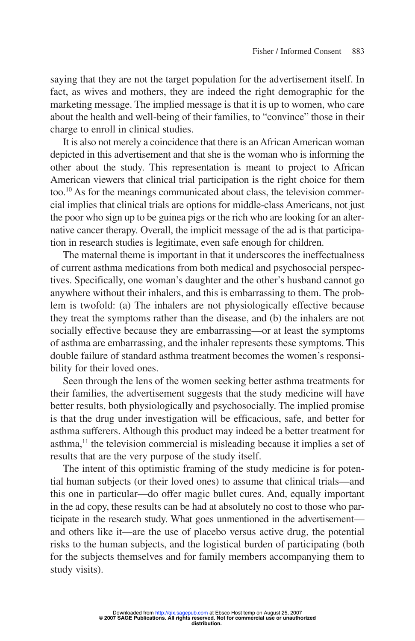saying that they are not the target population for the advertisement itself. In fact, as wives and mothers, they are indeed the right demographic for the marketing message. The implied message is that it is up to women, who care about the health and well-being of their families, to "convince" those in their charge to enroll in clinical studies.

It is also not merely a coincidence that there is an African American woman depicted in this advertisement and that she is the woman who is informing the other about the study. This representation is meant to project to African American viewers that clinical trial participation is the right choice for them too. <sup>10</sup> As for the meanings communicated about class, the television commercial implies that clinical trials are options for middle-class Americans, not just the poor who sign up to be guinea pigs or the rich who are looking for an alternative cancer therapy. Overall, the implicit message of the ad is that participation in research studies is legitimate, even safe enough for children.

The maternal theme is important in that it underscores the ineffectualness of current asthma medications from both medical and psychosocial perspectives. Specifically, one woman's daughter and the other's husband cannot go anywhere without their inhalers, and this is embarrassing to them. The problem is twofold: (a) The inhalers are not physiologically effective because they treat the symptoms rather than the disease, and (b) the inhalers are not socially effective because they are embarrassing—or at least the symptoms of asthma are embarrassing, and the inhaler represents these symptoms. This double failure of standard asthma treatment becomes the women's responsibility for their loved ones.

Seen through the lens of the women seeking better asthma treatments for their families, the advertisement suggests that the study medicine will have better results, both physiologically and psychosocially. The implied promise is that the drug under investigation will be efficacious, safe, and better for asthma sufferers. Although this product may indeed be a better treatment for asthma,<sup>11</sup> the television commercial is misleading because it implies a set of results that are the very purpose of the study itself.

The intent of this optimistic framing of the study medicine is for potential human subjects (or their loved ones) to assume that clinical trials—and this one in particular—do offer magic bullet cures. And, equally important in the ad copy, these results can be had at absolutely no cost to those who participate in the research study. What goes unmentioned in the advertisement and others like it—are the use of placebo versus active drug, the potential risks to the human subjects, and the logistical burden of participating (both for the subjects themselves and for family members accompanying them to study visits).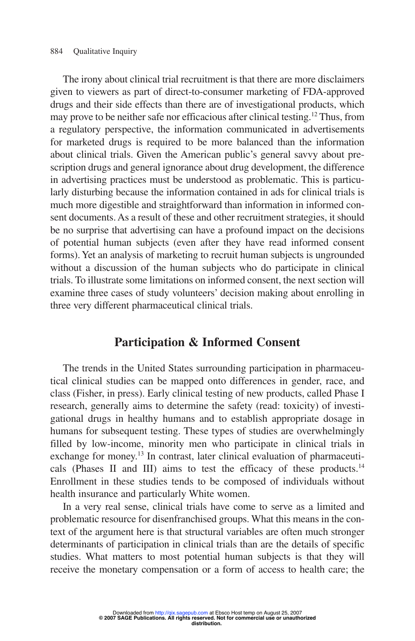The irony about clinical trial recruitment is that there are more disclaimers given to viewers as part of direct-to-consumer marketing of FDA-approved drugs and their side effects than there are of investigational products, which may prove to be neither safe nor efficacious after clinical testing.<sup>12</sup> Thus, from a regulatory perspective, the information communicated in advertisements for marketed drugs is required to be more balanced than the information about clinical trials. Given the American public's general savvy about prescription drugs and general ignorance about drug development, the difference in advertising practices must be understood as problematic. This is particularly disturbing because the information contained in ads for clinical trials is much more digestible and straightforward than information in informed consent documents. As a result of these and other recruitment strategies, it should be no surprise that advertising can have a profound impact on the decisions of potential human subjects (even after they have read informed consent forms).Yet an analysis of marketing to recruit human subjects is ungrounded without a discussion of the human subjects who do participate in clinical trials. To illustrate some limitations on informed consent, the next section will examine three cases of study volunteers' decision making about enrolling in three very different pharmaceutical clinical trials.

# **Participation & Informed Consent**

The trends in the United States surrounding participation in pharmaceutical clinical studies can be mapped onto differences in gender, race, and class (Fisher, in press). Early clinical testing of new products, called Phase I research, generally aims to determine the safety (read: toxicity) of investigational drugs in healthy humans and to establish appropriate dosage in humans for subsequent testing. These types of studies are overwhelmingly filled by low-income, minority men who participate in clinical trials in exchange for money.<sup>13</sup> In contrast, later clinical evaluation of pharmaceuticals (Phases II and III) aims to test the efficacy of these products.<sup>14</sup> Enrollment in these studies tends to be composed of individuals without health insurance and particularly White women.

In a very real sense, clinical trials have come to serve as a limited and problematic resource for disenfranchised groups. What this means in the context of the argument here is that structural variables are often much stronger determinants of participation in clinical trials than are the details of specific studies. What matters to most potential human subjects is that they will receive the monetary compensation or a form of access to health care; the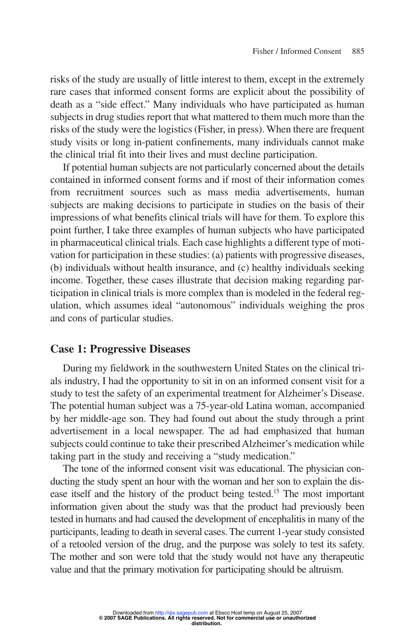risks of the study are usually of little interest to them, except in the extremely rare cases that informed consent forms are explicit about the possibility of death as a "side effect." Many individuals who have participated as human subjects in drug studies report that what mattered to them much more than the risks of the study were the logistics (Fisher, in press). When there are frequent study visits or long in-patient confinements, many individuals cannot make the clinical trial fit into their lives and must decline participation.

If potential human subjects are not particularly concerned about the details contained in informed consent forms and if most of their information comes from recruitment sources such as mass media advertisements, human subjects are making decisions to participate in studies on the basis of their impressions of what benefits clinical trials will have for them. To explore this point further, I take three examples of human subjects who have participated in pharmaceutical clinical trials. Each case highlights a different type of motivation for participation in these studies: (a) patients with progressive diseases, (b) individuals without health insurance, and (c) healthy individuals seeking income. Together, these cases illustrate that decision making regarding participation in clinical trials is more complex than is modeled in the federal regulation, which assumes ideal "autonomous" individuals weighing the pros and cons of particular studies.

# **Case 1: Progressive Diseases**

During my fieldwork in the southwestern United States on the clinical trials industry, I had the opportunity to sit in on an informed consent visit for a study to test the safety of an experimental treatment for Alzheimer's Disease. The potential human subject was a 75-year-old Latina woman, accompanied by her middle-age son. They had found out about the study through a print advertisement in a local newspaper. The ad had emphasized that human subjects could continue to take their prescribed Alzheimer's medication while taking part in the study and receiving a "study medication."

The tone of the informed consent visit was educational. The physician conducting the study spent an hour with the woman and her son to explain the disease itself and the history of the product being tested. <sup>15</sup> The most important information given about the study was that the product had previously been tested in humans and had caused the development of encephalitisin many of the participants, leading to death in several cases. The current 1-year study consisted of a retooled version of the drug, and the purpose was solely to test its safety. The mother and son were told that the study would not have any therapeutic value and that the primary motivation for participating should be altruism.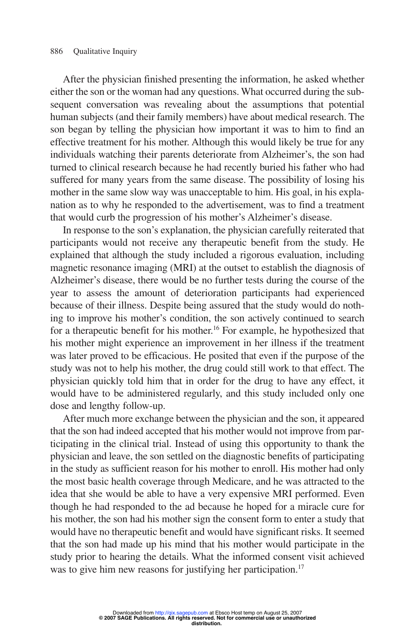After the physician finished presenting the information, he asked whether either the son or the woman had any questions. What occurred during the subsequent conversation was revealing about the assumptions that potential human subjects (and their family members) have about medical research. The son began by telling the physician how important it was to him to find an effective treatment for his mother. Although this would likely be true for any individuals watching their parents deteriorate from Alzheimer's, the son had turned to clinical research because he had recently buried his father who had suffered for many years from the same disease. The possibility of losing his mother in the same slow way was unacceptable to him. His goal, in his explanation as to why he responded to the advertisement, was to find a treatment that would curb the progression of his mother's Alzheimer's disease.

In response to the son's explanation, the physician carefully reiterated that participants would not receive any therapeutic benefit from the study. He explained that although the study included a rigorous evaluation, including magnetic resonance imaging (MRI) at the outset to establish the diagnosis of Alzheimer's disease, there would be no further tests during the course of the year to assess the amount of deterioration participants had experienced because of their illness. Despite being assured that the study would do nothing to improve his mother's condition, the son actively continued to search for a therapeutic benefit for his mother. <sup>16</sup> For example, he hypothesized that his mother might experience an improvement in her illness if the treatment was later proved to be efficacious. He posited that even if the purpose of the study was not to help his mother, the drug could still work to that effect. The physician quickly told him that in order for the drug to have any effect, it would have to be administered regularly, and this study included only one dose and lengthy follow-up.

After much more exchange between the physician and the son, it appeared that the son had indeed accepted that his mother would not improve from participating in the clinical trial. Instead of using this opportunity to thank the physician and leave, the son settled on the diagnostic benefits of participating in the study as sufficient reason for his mother to enroll. His mother had only the most basic health coverage through Medicare, and he was attracted to the idea that she would be able to have a very expensive MRI performed. Even though he had responded to the ad because he hoped for a miracle cure for his mother, the son had his mother sign the consent form to enter a study that would have no therapeutic benefit and would have significant risks. It seemed that the son had made up his mind that his mother would participate in the study prior to hearing the details. What the informed consent visit achieved was to give him new reasons for justifying her participation.<sup>17</sup>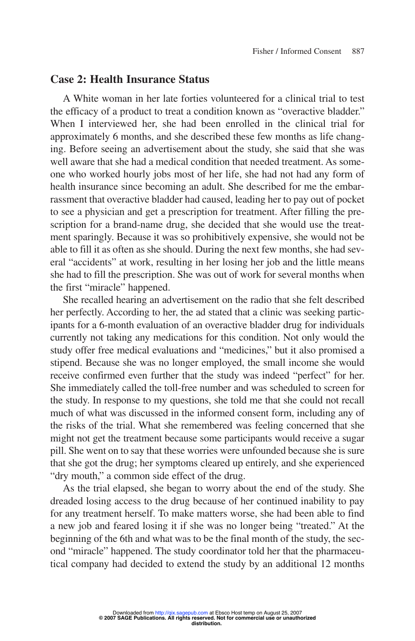#### **Case 2: Health Insurance Status**

A White woman in her late forties volunteered for a clinical trial to test the efficacy of a product to treat a condition known as "overactive bladder." When I interviewed her, she had been enrolled in the clinical trial for approximately 6 months, and she described these few months as life changing. Before seeing an advertisement about the study, she said that she was well aware that she had a medical condition that needed treatment. As someone who worked hourly jobs most of her life, she had not had any form of health insurance since becoming an adult. She described for me the embarrassment that overactive bladder had caused, leading her to pay out of pocket to see a physician and get a prescription for treatment. After filling the prescription for a brand-name drug, she decided that she would use the treatment sparingly. Because it was so prohibitively expensive, she would not be able to fill it as often as she should. During the next few months, she had several "accidents" at work, resulting in her losing her job and the little means she had to fill the prescription. She was out of work for several months when the first "miracle" happened.

She recalled hearing an advertisement on the radio that she felt described her perfectly. According to her, the ad stated that a clinic was seeking participants for a 6-month evaluation of an overactive bladder drug for individuals currently not taking any medications for this condition. Not only would the study offer free medical evaluations and "medicines," but it also promised a stipend. Because she was no longer employed, the small income she would receive confirmed even further that the study was indeed "perfect" for her. She immediately called the toll-free number and was scheduled to screen for the study. In response to my questions, she told me that she could not recall much of what was discussed in the informed consent form, including any of the risks of the trial. What she remembered was feeling concerned that she might not get the treatment because some participants would receive a sugar pill. She went on to say that these worries were unfounded because she is sure that she got the drug; her symptoms cleared up entirely, and she experienced "dry mouth," a common side effect of the drug.

As the trial elapsed, she began to worry about the end of the study. She dreaded losing access to the drug because of her continued inability to pay for any treatment herself. To make matters worse, she had been able to find a new job and feared losing it if she was no longer being "treated." At the beginning of the 6th and what was to be the final month of the study, the second "miracle" happened. The study coordinator told her that the pharmaceutical company had decided to extend the study by an additional 12 months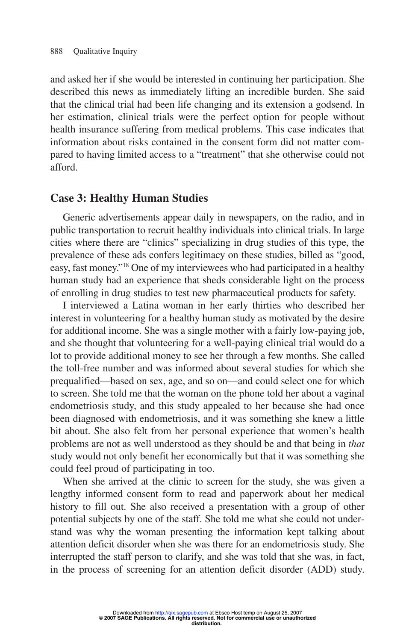and asked her if she would be interested in continuing her participation. She described this news as immediately lifting an incredible burden. She said that the clinical trial had been life changing and its extension a godsend. In her estimation, clinical trials were the perfect option for people without health insurance suffering from medical problems. This case indicates that information about risks contained in the consent form did not matter compared to having limited access to a "treatment" that she otherwise could not afford.

#### **Case 3: Healthy Human Studies**

Generic advertisements appear daily in newspapers, on the radio, and in public transportation to recruit healthy individuals into clinical trials. In large cities where there are "clinics" specializing in drug studies of this type, the prevalence of these ads confers legitimacy on these studies, billed as "good, easy, fast money."18 One of my interviewees who had participated in a healthy human study had an experience that sheds considerable light on the process of enrolling in drug studies to test new pharmaceutical products for safety.

I interviewed a Latina woman in her early thirties who described her interest in volunteering for a healthy human study as motivated by the desire for additional income. She was a single mother with a fairly low-paying job, and she thought that volunteering for a well-paying clinical trial would do a lot to provide additional money to see her through a few months. She called the toll-free number and was informed about several studies for which she prequalified—based on sex, age, and so on—and could select one for which to screen. She told me that the woman on the phone told her about a vaginal endometriosis study, and this study appealed to her because she had once been diagnosed with endometriosis, and it was something she knew a little bit about. She also felt from her personal experience that women's health problems are not as well understood as they should be and that being in *that* study would not only benefit her economically but that it was something she could feel proud of participating in too.

When she arrived at the clinic to screen for the study, she was given a lengthy informed consent form to read and paperwork about her medical history to fill out. She also received a presentation with a group of other potential subjects by one of the staff. She told me what she could not understand was why the woman presenting the information kept talking about attention deficit disorder when she was there for an endometriosis study. She interrupted the staff person to clarify, and she was told that she was, in fact, in the process of screening for an attention deficit disorder (ADD) study.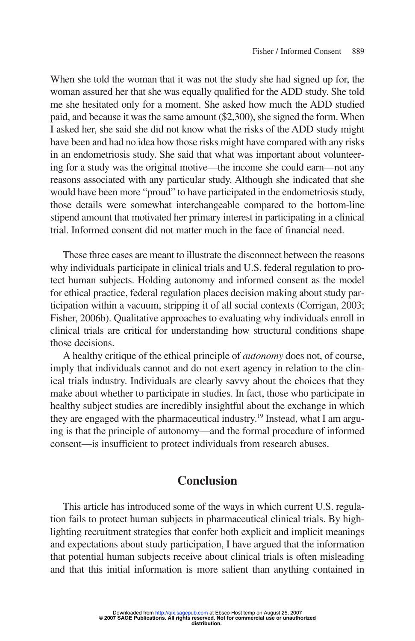When she told the woman that it was not the study she had signed up for, the woman assured her that she was equally qualified for the ADD study. She told me she hesitated only for a moment. She asked how much the ADD studied paid, and because it was the same amount  $(\$2,300)$ , she signed the form. When I asked her, she said she did not know what the risks of the ADD study might have been and had no idea how those risks might have compared with any risks in an endometriosis study. She said that what was important about volunteering for a study was the original motive—the income she could earn—not any reasons associated with any particular study. Although she indicated that she would have been more "proud" to have participated in the endometriosis study, those details were somewhat interchangeable compared to the bottom-line stipend amount that motivated her primary interest in participating in a clinical trial. Informed consent did not matter much in the face of financial need.

These three cases are meant to illustrate the disconnect between the reasons why individuals participate in clinical trials and U.S. federal regulation to protect human subjects. Holding autonomy and informed consent as the model for ethical practice, federal regulation places decision making about study participation within a vacuum, stripping it of all social contexts (Corrigan, 2003; Fisher, 2006b). Qualitative approaches to evaluating why individuals enroll in clinical trials are critical for understanding how structural conditions shape those decisions.

A healthy critique of the ethical principle of *autonomy* does not, of course, imply that individuals cannot and do not exert agency in relation to the clinical trials industry. Individuals are clearly savvy about the choices that they make about whether to participate in studies. In fact, those who participate in healthy subject studies are incredibly insightful about the exchange in which they are engaged with the pharmaceutical industry. <sup>19</sup> Instead, what I am arguing is that the principle of autonomy—and the formal procedure of informed consent—is insufficient to protect individuals from research abuses.

# **Conclusion**

This article has introduced some of the ways in which current U.S. regulation fails to protect human subjects in pharmaceutical clinical trials. By highlighting recruitment strategies that confer both explicit and implicit meanings and expectations about study participation, I have argued that the information that potential human subjects receive about clinical trials is often misleading and that this initial information is more salient than anything contained in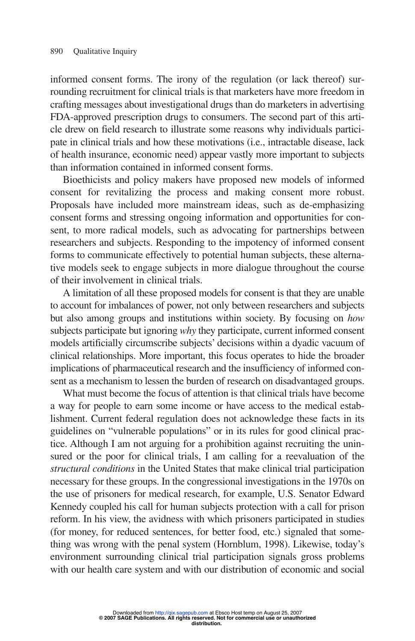informed consent forms. The irony of the regulation (or lack thereof) surrounding recruitment for clinical trials is that marketers have more freedom in crafting messages about investigational drugs than do marketers in advertising FDA-approved prescription drugs to consumers. The second part of this article drew on field research to illustrate some reasons why individuals participate in clinical trials and how these motivations (i.e., intractable disease, lack of health insurance, economic need) appear vastly more important to subjects than information contained in informed consent forms.

Bioethicists and policy makers have proposed new models of informed consent for revitalizing the process and making consent more robust. Proposals have included more mainstream ideas, such as de-emphasizing consent forms and stressing ongoing information and opportunities for consent, to more radical models, such as advocating for partnerships between researchers and subjects. Responding to the impotency of informed consent forms to communicate effectively to potential human subjects, these alternative models seek to engage subjects in more dialogue throughout the course of their involvement in clinical trials.

A limitation of all these proposed models for consent is that they are unable to account for imbalances of power, not only between researchers and subjects but also among groups and institutions within society. By focusing on *how* subjects participate but ignoring *why* they participate, current informed consent models artificially circumscribe subjects' decisions within a dyadic vacuum of clinical relationships. More important, this focus operates to hide the broader implications of pharmaceutical research and the insufficiency of informed consent as a mechanism to lessen the burden of research on disadvantaged groups.

What must become the focus of attention is that clinical trials have become a way for people to earn some income or have access to the medical establishment. Current federal regulation does not acknowledge these facts in its guidelines on "vulnerable populations" or in its rules for good clinical practice. Although I am not arguing for a prohibition against recruiting the uninsured or the poor for clinical trials, I am calling for a reevaluation of the *structural conditions* in the United States that make clinical trial participation necessary for these groups. In the congressional investigations in the 1970s on the use of prisoners for medical research, for example, U.S. Senator Edward Kennedy coupled his call for human subjects protection with a call for prison reform. In his view, the avidness with which prisoners participated in studies (for money, for reduced sentences, for better food, etc.) signaled that something was wrong with the penal system (Hornblum, 1998). Likewise, today's environment surrounding clinical trial participation signals gross problems with our health care system and with our distribution of economic and social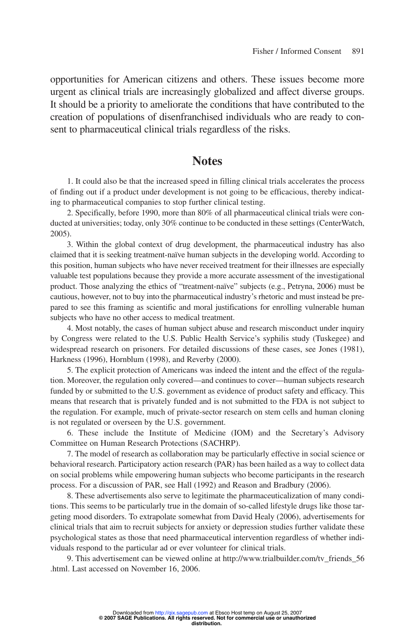opportunities for American citizens and others. These issues become more urgent as clinical trials are increasingly globalized and affect diverse groups. It should be a priority to ameliorate the conditions that have contributed to the creation of populations of disenfranchised individuals who are ready to consent to pharmaceutical clinical trials regardless of the risks.

# **Notes**

1. It could also be that the increased speed in filling clinical trials accelerates the process of finding out if a product under development is not going to be efficacious, thereby indicating to pharmaceutical companies to stop further clinical testing.

2. Specifically, before 1990, more than 80% of all pharmaceutical clinical trials were conducted at universities; today, only 30% continue to be conducted in these settings (CenterWatch, 2005).

3. Within the global context of drug development, the pharmaceutical industry has also claimed that it is seeking treatment-naïve human subjects in the developing world. According to this position, human subjects who have never received treatment for their illnesses are especially valuable test populations because they provide a more accurate assessment of the investigational product. Those analyzing the ethics of "treatment-naïve" subjects (e.g., Petryna, 2006) must be cautious, however, not to buy into the pharmaceutical industry's rhetoric and must instead be prepared to see this framing as scientific and moral justifications for enrolling vulnerable human subjects who have no other access to medical treatment.

4. Most notably, the cases of human subject abuse and research misconduct under inquiry by Congress were related to the U.S. Public Health Service's syphilis study (Tuskegee) and widespread research on prisoners. For detailed discussions of these cases, see Jones (1981), Harkness (1996), Hornblum (1998), and Reverby (2000).

5. The explicit protection of Americans was indeed the intent and the effect of the regulation. Moreover, the regulation only covered—and continues to cover—human subjects research funded by or submitted to the U.S. government as evidence of product safety and efficacy. This means that research that is privately funded and is not submitted to the FDA is not subject to the regulation. For example, much of private-sector research on stem cells and human cloning is not regulated or overseen by the U.S. government.

6. These include the Institute of Medicine (IOM) and the Secretary's Advisory Committee on Human Research Protections (SACHRP).

7. The model of research as collaboration may be particularly effective in social science or behavioral research. Participatory action research (PAR) has been hailed as a way to collect data on social problems while empowering human subjects who become participants in the research process. For a discussion of PAR, see Hall (1992) and Reason and Bradbury (2006).

8. These advertisements also serve to legitimate the pharmaceuticalization of many conditions. This seems to be particularly true in the domain of so-called lifestyle drugs like those targeting mood disorders. To extrapolate somewhat from David Healy (2006), advertisements for clinical trials that aim to recruit subjects for anxiety or depression studies further validate these psychological states as those that need pharmaceutical intervention regardless of whether individuals respond to the particular ad or ever volunteer for clinical trials.

9. This advertisement can be viewed online at http://www.trialbuilder.com/tv\_friends\_56 .html. Last accessed on November 16, 2006.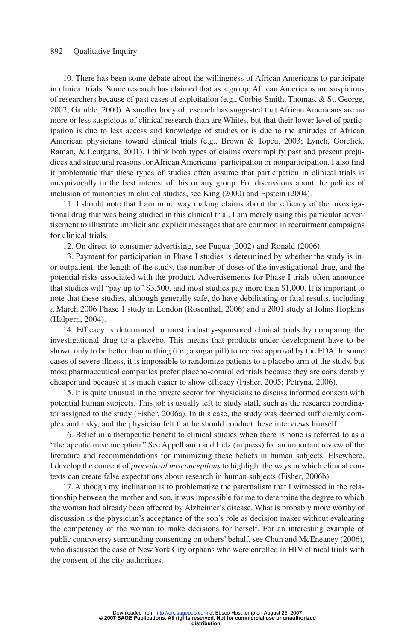#### 892 Qualitative Inquiry

10. There has been some debate about the willingness of African Americans to participate in clinical trials. Some research has claimed that as a group, African Americans are suspicious of researchers because of past cases of exploitation (e.g., Corbie-Smith, Thomas, & St. George, 2002; Gamble, 2000). A smaller body of research has suggested that African Americans are no more or less suspicious of clinical research than are Whites, but that their lower level of participation is due to less access and knowledge of studies or is due to the attitudes of African American physicians toward clinical trials (e.g., Brown & Topcu, 2003; Lynch, Gorelick, Raman, & Leurgans, 2001). I think both types of claims oversimplify past and present prejudices and structural reasons for African Americans' participation or nonparticipation. I also find it problematic that these types of studies often assume that participation in clinical trials is unequivocally in the best interest of this or any group. For discussions about the politics of inclusion of minorities in clinical studies, see King (2000) and Epstein (2004).

11. I should note that I am in no way making claims about the efficacy of the investigational drug that was being studied in this clinical trial. I am merely using this particular advertisement to illustrate implicit and explicit messages that are common in recruitment campaigns for clinical trials.

12. On direct-to-consumer advertising, see Fuqua (2002) and Ronald (2006).

13. Payment for participation in Phase I studies is determined by whether the study is inor outpatient, the length of the study, the number of doses of the investigational drug, and the potential risks associated with the product. Advertisements for Phase I trials often announce that studies will "pay up to" \$3,500, and most studies pay more than \$1,000. It is important to note that these studies, although generally safe, do have debilitating or fatal results, including a March 2006 Phase 1 study in London (Rosenthal, 2006) and a 2001 study at Johns Hopkins (Halpern, 2004).

14. Efficacy is determined in most industry-sponsored clinical trials by comparing the investigational drug to a placebo. This means that products under development have to be shown only to be better than nothing (i.e., a sugar pill) to receive approval by the FDA. In some cases of severe illness, it is impossible to randomize patients to a placebo arm of the study, but most pharmaceutical companies prefer placebo-controlled trials because they are considerably cheaper and because it is much easier to show efficacy (Fisher, 2005; Petryna, 2006).

15. It is quite unusual in the private sector for physicians to discuss informed consent with potential human subjects. This job is usually left to study staff, such as the research coordinator assigned to the study (Fisher, 2006a). In this case, the study was deemed sufficiently complex and risky, and the physician felt that he should conduct these interviews himself.

16. Belief in a therapeutic benefit to clinical studies when there is none is referred to as a "therapeutic misconception." See Appelbaum and Lidz (in press) for an important review of the literature and recommendations for minimizing these beliefs in human subjects. Elsewhere, I develop the concept of *procedural misconceptions* to highlight the ways in which clinical contexts can create false expectations about research in human subjects (Fisher, 2006b).

17. Although my inclination is to problematize the paternalism that I witnessed in the relationship between the mother and son, it was impossible for me to determine the degree to which the woman had already been affected by Alzheimer's disease. What is probably more worthy of discussion is the physician's acceptance of the son's role as decision maker without evaluating the competency of the woman to make decisions for herself. For an interesting example of public controversy surrounding consenting on others' behalf, see Chun and McEneaney (2006), who discussed the case of NewYork City orphans who were enrolled in HIV clinical trials with the consent of the city authorities.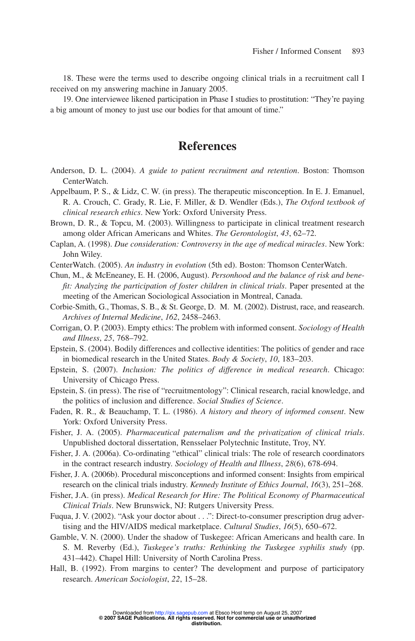18. These were the terms used to describe ongoing clinical trials in a recruitment call I received on my answering machine in January 2005.

19. One interviewee likened participation in Phase I studies to prostitution: "They're paying a big amount of money to just use our bodies for that amount of time."

# **References**

- Anderson, D. L. (2004). *A guide to patient recruitment and retention*. Boston: Thomson CenterWatch.
- Appelbaum, P. S., & Lidz, C. W. (in press). The therapeutic misconception. In E. J. Emanuel, R. A. Crouch, C. Grady, R. Lie, F. Miller, & D. Wendler (Eds.), *The Oxford textbook of clinical research ethics*. New York: Oxford University Press.
- Brown, D. R., & Topcu, M. (2003). Willingness to participate in clinical treatment research among older African Americans and Whites. *The Gerontologist*, *43*, 62–72.
- Caplan, A. (1998). *Due consideration: Controversy in the age of medical miracles*. New York: John Wiley.
- CenterWatch. (2005). *An industry in evolution* (5th ed). Boston: Thomson CenterWatch.
- Chun, M., & McEneaney, E. H. (2006, August). *Personhood and the balance of risk and benefit: Analyzing the participation of foster children in clinical trials*. Paper presented at the meeting of the American Sociological Association in Montreal, Canada.
- Corbie-Smith, G., Thomas, S. B., & St. George, D. M. M. (2002). Distrust, race, and reasearch. *Archives of Internal Medicine*, *162*, 2458–2463.
- Corrigan, O. P. (2003). Empty ethics: The problem with informed consent. *Sociology of Health and Illness*, *25*, 768–792.
- Epstein, S. (2004). Bodily differences and collective identities: The politics of gender and race in biomedical research in the United States. *Body & Society*, *10*, 183–203.
- Epstein, S. (2007). *Inclusion: The politics of difference in medical research*. Chicago: University of Chicago Press.
- Epstein, S. (in press). The rise of "recruitmentology": Clinical research, racial knowledge, and the politics of inclusion and difference. *Social Studies of Science*.
- Faden, R. R., & Beauchamp, T. L. (1986). *A history and theory of informed consent*. New York: Oxford University Press.
- Fisher, J. A. (2005). *Pharmaceutical paternalism and the privatization of clinical trials*. Unpublished doctoral dissertation, Rensselaer Polytechnic Institute, Troy, NY.
- Fisher, J. A. (2006a). Co-ordinating "ethical" clinical trials: The role of research coordinators in the contract research industry. *Sociology of Health and Illness*, *28*(6), 678-694.
- Fisher, J. A. (2006b). Procedural misconceptions and informed consent: Insights from empirical research on the clinical trials industry. *Kennedy Institute of Ethics Journal*, *16*(3), 251–268.
- Fisher, J.A. (in press). *Medical Research for Hire: The Political Economy of Pharmaceutical Clinical Trials*. New Brunswick, NJ: Rutgers University Press.
- Fuqua, J. V. (2002). "Ask your doctor about . . .": Direct-to-consumer prescription drug advertising and the HIV/AIDS medical marketplace. *Cultural Studies*, *16*(5), 650–672.
- Gamble, V. N. (2000). Under the shadow of Tuskegee: African Americans and health care. In S. M. Reverby (Ed.), *Tuskegee's truths: Rethinking the Tuskegee syphilis study* (pp. 431–442). Chapel Hill: University of North Carolina Press.
- Hall, B. (1992). From margins to center? The development and purpose of participatory research. *American Sociologist*, *22*, 15–28.